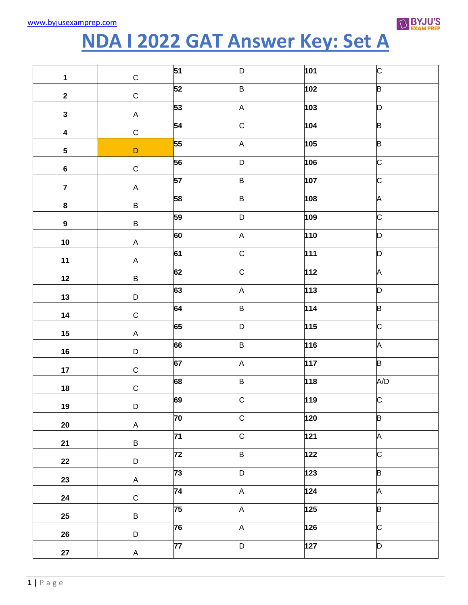

## **NDA I 2022 GAT Answer Key: Set A**

| $\mathbf 1$             | $\mathsf C$ | 51              | D | 101              | C                       |
|-------------------------|-------------|-----------------|---|------------------|-------------------------|
| $\overline{\mathbf{2}}$ | $\mathsf C$ | 52              | B | 102              | B                       |
| $\mathbf{3}$            | A           | 53              | A | 103              | D                       |
| $\overline{\mathbf{4}}$ | $\mathsf C$ | 54              | C | 104              | B                       |
| $\overline{\mathbf{5}}$ | $\mathsf D$ | 55              | A | 105              | B                       |
| $\bf 6$                 | $\mathsf C$ | 56              | D | 106              | C                       |
| $\overline{7}$          | A           | 57              | B | 107              | C                       |
| $\bf 8$                 | $\sf B$     | 58              | B | 108              | A                       |
| $\boldsymbol{9}$        | B           | 59              | n | 109              | C                       |
| 10                      | A           | 60              | A | 110              | D                       |
| 11                      | A           | 61              | C | 111              | D                       |
| 12                      | B           | 62              | C | 112              | A                       |
| 13                      | D           | 63              | A | 113              | D                       |
| 14                      | $\mathsf C$ | 64              | B | 114              | B                       |
| $15\phantom{.0}$        | A           | 65              | n | $115$            | C                       |
| 16                      | D           | 66              | B | 116              | A                       |
| $17\,$                  | $\mathsf C$ | 67              | A | 117              | B                       |
| $18\,$                  | $\mathsf C$ | 68              | B | $\overline{118}$ | A/D                     |
| 19                      | D           | 69              | C | 119              | $\overline{\mathsf{C}}$ |
| $20\,$                  | $\sf A$     | 70              | C | 120              | B                       |
| 21                      | $\sf B$     | $\overline{71}$ | C | 121              | A                       |
| 22                      | D           | $\overline{72}$ | B | 122              | C                       |
| 23                      | A           | 73              | D | 123              | B                       |
| 24                      | $\mathsf C$ | 74              | A | 124              | A                       |
| 25                      | B           | 75              | A | 125              | B                       |
| 26                      | D           | 76              | A | $\overline{126}$ | $\overline{\text{c}}$   |
| ${\bf 27}$              | A           | $\overline{77}$ | D | 127              | D                       |